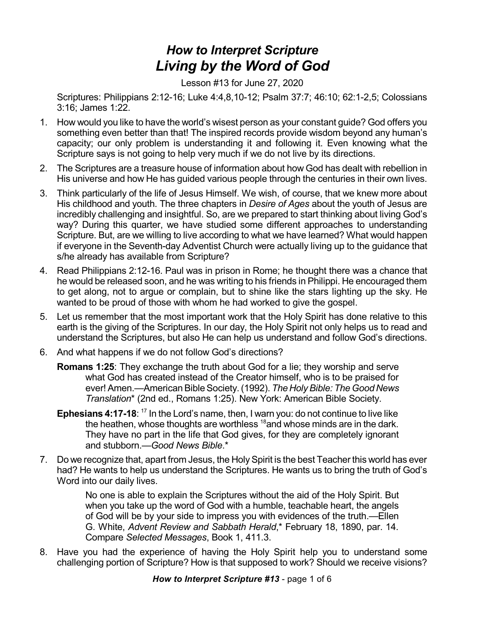## *How to Interpret Scripture Living by the Word of God*

Lesson #13 for June 27, 2020

Scriptures: Philippians 2:12-16; Luke 4:4,8,10-12; Psalm 37:7; 46:10; 62:1-2,5; Colossians 3:16; James 1:22.

- 1. How would you like to have the world's wisest person as your constant guide? God offers you something even better than that! The inspired records provide wisdom beyond any human's capacity; our only problem is understanding it and following it. Even knowing what the Scripture says is not going to help very much if we do not live by its directions.
- 2. The Scriptures are a treasure house of information about how God has dealt with rebellion in His universe and how He has guided various people through the centuries in their own lives.
- 3. Think particularly of the life of Jesus Himself. We wish, of course, that we knew more about His childhood and youth. The three chapters in *Desire of Ages* about the youth of Jesus are incredibly challenging and insightful. So, are we prepared to start thinking about living God's way? During this quarter, we have studied some different approaches to understanding Scripture. But, are we willing to live according to what we have learned? What would happen if everyone in the Seventh-day Adventist Church were actually living up to the guidance that s/he already has available from Scripture?
- 4. Read Philippians 2:12-16. Paul was in prison in Rome; he thought there was a chance that he would be released soon, and he was writing to his friends in Philippi. He encouraged them to get along, not to argue or complain, but to shine like the stars lighting up the sky. He wanted to be proud of those with whom he had worked to give the gospel.
- 5. Let us remember that the most important work that the Holy Spirit has done relative to this earth is the giving of the Scriptures. In our day, the Holy Spirit not only helps us to read and understand the Scriptures, but also He can help us understand and follow God's directions.
- 6. And what happens if we do not follow God's directions?
	- **Romans 1:25**: They exchange the truth about God for a lie; they worship and serve what God has created instead of the Creator himself, who is to be praised for ever! Amen.—AmericanBibleSociety.(1992). *The HolyBible: The Good News Translation*\* (2nd ed., Romans 1:25). New York: American Bible Society.
	- Ephesians 4:17-18: <sup>17</sup> In the Lord's name, then, I warn you: do not continue to live like the heathen, whose thoughts are worthless <sup>18</sup>and whose minds are in the dark. They have no part in the life that God gives, for they are completely ignorant and stubborn.—*Good News Bible*.\*
- 7. Do we recognize that, apart from Jesus, the Holy Spirit is the best Teacher this world has ever had? He wants to help us understand the Scriptures. He wants us to bring the truth of God's Word into our daily lives.

No one is able to explain the Scriptures without the aid of the Holy Spirit. But when you take up the word of God with a humble, teachable heart, the angels of God will be by your side to impress you with evidences of the truth.—Ellen G. White, *Advent Review and Sabbath Herald*,\* February 18, 1890, par. 14. Compare *Selected Messages*, Book 1, 411.3.

8. Have you had the experience of having the Holy Spirit help you to understand some challenging portion of Scripture? How is that supposed to work? Should we receive visions?

*How to Interpret Scripture #13* - page 1 of 6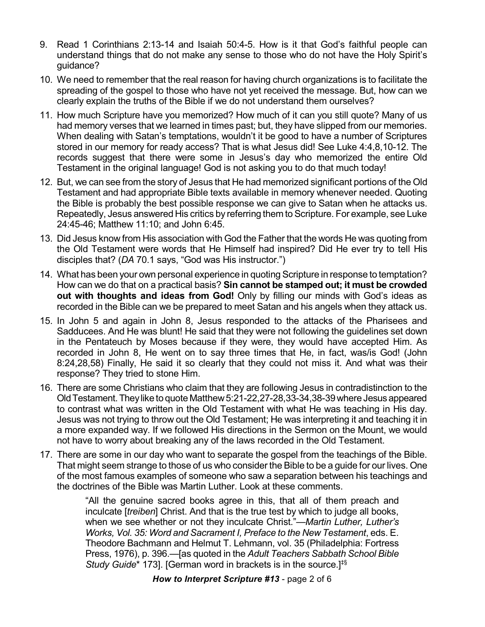- 9. Read 1 Corinthians 2:13-14 and Isaiah 50:4-5. How is it that God's faithful people can understand things that do not make any sense to those who do not have the Holy Spirit's guidance?
- 10. We need to remember that the real reason for having church organizations is to facilitate the spreading of the gospel to those who have not yet received the message. But, how can we clearly explain the truths of the Bible if we do not understand them ourselves?
- 11. How much Scripture have you memorized? How much of it can you still quote? Many of us had memory verses that we learned in times past; but, they have slipped from our memories. When dealing with Satan's temptations, wouldn't it be good to have a number of Scriptures stored in our memory for ready access? That is what Jesus did! See Luke 4:4,8,10-12. The records suggest that there were some in Jesus's day who memorized the entire Old Testament in the original language! God is not asking you to do that much today!
- 12. But, we can see from the story of Jesus that He had memorized significant portions of the Old Testament and had appropriate Bible texts available in memory whenever needed. Quoting the Bible is probably the best possible response we can give to Satan when he attacks us. Repeatedly, Jesus answered His critics by referring them to Scripture. For example, see Luke 24:45-46; Matthew 11:10; and John 6:45.
- 13. Did Jesus know from His association with God the Father that the words He was quoting from the Old Testament were words that He Himself had inspired? Did He ever try to tell His disciples that? (*DA* 70.1 says, "God was His instructor.")
- 14. What has been your own personal experience in quoting Scripture in response to temptation? How can we do that on a practical basis? **Sin cannot be stamped out; it must be crowded out with thoughts and ideas from God!** Only by filling our minds with God's ideas as recorded in the Bible can we be prepared to meet Satan and his angels when they attack us.
- 15. In John 5 and again in John 8, Jesus responded to the attacks of the Pharisees and Sadducees. And He was blunt! He said that they were not following the guidelines set down in the Pentateuch by Moses because if they were, they would have accepted Him. As recorded in John 8, He went on to say three times that He, in fact, was/is God! (John 8:24,28,58) Finally, He said it so clearly that they could not miss it. And what was their response? They tried to stone Him.
- 16. There are some Christians who claim that they are following Jesus in contradistinction to the OldTestament.Theyliketo quote Matthew5:21-22,27-28,33-34,38-39where Jesus appeared to contrast what was written in the Old Testament with what He was teaching in His day. Jesus was not trying to throw out the Old Testament; He was interpreting it and teaching it in a more expanded way. If we followed His directions in the Sermon on the Mount, we would not have to worry about breaking any of the laws recorded in the Old Testament.
- 17. There are some in our day who want to separate the gospel from the teachings of the Bible. That might seem strange to those of us who consider the Bible to be a guide for our lives. One of the most famous examples of someone who saw a separation between his teachings and the doctrines of the Bible was Martin Luther. Look at these comments.

"All the genuine sacred books agree in this, that all of them preach and inculcate [*treiben*] Christ. And that is the true test by which to judge all books, when we see whether or not they inculcate Christ."—*Martin Luther, Luther's Works, Vol. 35: Word and Sacrament I, Preface to the New Testament*, eds. E. Theodore Bachmann and Helmut T. Lehmann, vol. 35 (Philadelphia: Fortress Press, 1976), p. 396.—[as quoted in the *Adult Teachers Sabbath School Bible Study Guide*\* 173]. [German word in brackets is in the source.] ‡§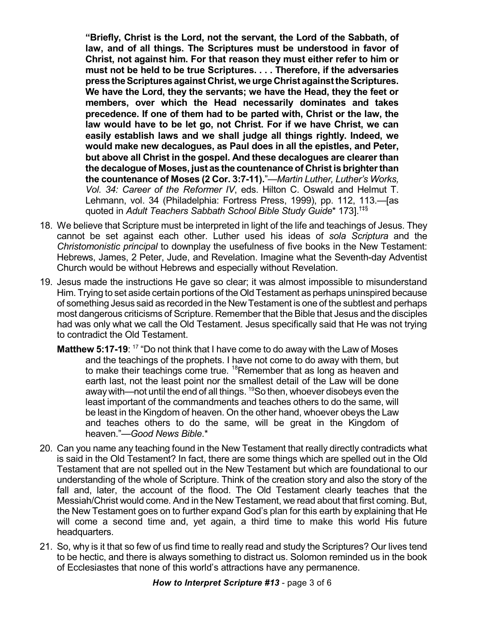**"Briefly, Christ is the Lord, not the servant, the Lord of the Sabbath, of law, and of all things. The Scriptures must be understood in favor of Christ, not against him. For that reason they must either refer to him or must not be held to be true Scriptures. . . . Therefore, if the adversaries press theScripturesagainst Christ,weurgeChrist againsttheScriptures. We have the Lord, they the servants; we have the Head, they the feet or members, over which the Head necessarily dominates and takes precedence. If one of them had to be parted with, Christ or the law, the law would have to be let go, not Christ. For if we have Christ, we can easily establish laws and we shall judge all things rightly. Indeed, we would make new decalogues, as Paul does in all the epistles, and Peter, but above all Christ in the gospel. And these decalogues are clearer than the decalogue of Moses, just as the countenance of Christ is brighterthan the countenance of Moses (2 Cor. 3:7-11).**"—*Martin Luther, Luther's Works, Vol. 34: Career of the Reformer IV*, eds. Hilton C. Oswald and Helmut T. Lehmann, vol. 34 (Philadelphia: Fortress Press, 1999), pp. 112, 113.—[as quoted in *Adult Teachers Sabbath School Bible Study Guide*\* 173]. †‡§

- 18. We believe that Scripture must be interpreted in light of the life and teachings of Jesus. They cannot be set against each other. Luther used his ideas of *sola Scriptura* and the *Christomonistic principal* to downplay the usefulness of five books in the New Testament: Hebrews, James, 2 Peter, Jude, and Revelation. Imagine what the Seventh-day Adventist Church would be without Hebrews and especially without Revelation.
- 19. Jesus made the instructions He gave so clear; it was almost impossible to misunderstand Him. Trying to set aside certain portions of the Old Testament as perhaps uninspired because of something Jesus said as recorded in the NewTestament is one of the subtlest and perhaps most dangerous criticisms of Scripture. Remember that the Bible that Jesus and the disciples had was only what we call the Old Testament. Jesus specifically said that He was not trying to contradict the Old Testament.
	- **Matthew 5:17-19**: <sup>17</sup> "Do not think that I have come to do away with the Law of Moses and the teachings of the prophets. I have not come to do away with them, but to make their teachings come true. <sup>18</sup>Remember that as long as heaven and earth last, not the least point nor the smallest detail of the Law will be done away with—not until the end of all things. <sup>19</sup>So then, whoever disobeys even the least important of the commandments and teaches others to do the same, will be least in the Kingdom of heaven. On the other hand, whoever obeys the Law and teaches others to do the same, will be great in the Kingdom of heaven."—*Good News Bible*.\*
- 20. Can you name any teaching found in the New Testament that really directly contradicts what is said in the Old Testament? In fact, there are some things which are spelled out in the Old Testament that are not spelled out in the New Testament but which are foundational to our understanding of the whole of Scripture. Think of the creation story and also the story of the fall and, later, the account of the flood. The Old Testament clearly teaches that the Messiah/Christ would come. And in the New Testament, we read about that first coming. But, the New Testament goes on to further expand God's plan for this earth by explaining that He will come a second time and, yet again, a third time to make this world His future headquarters.
- 21. So, why is it that so few of us find time to really read and study the Scriptures? Our lives tend to be hectic, and there is always something to distract us. Solomon reminded us in the book of Ecclesiastes that none of this world's attractions have any permanence.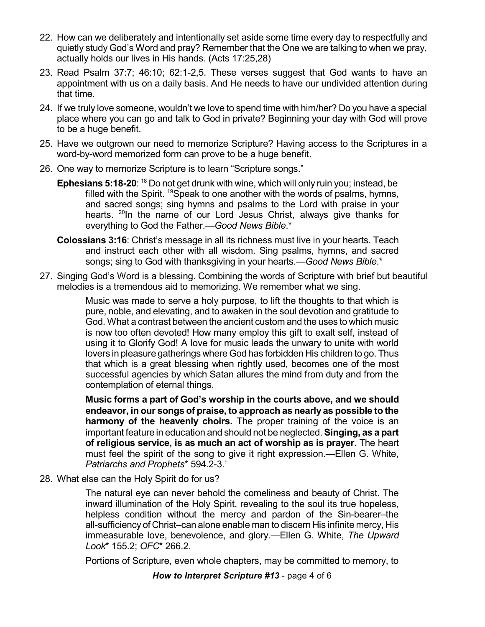- 22. How can we deliberately and intentionally set aside some time every day to respectfully and quietly study God's Word and pray? Remember that the One we are talking to when we pray, actually holds our lives in His hands. (Acts 17:25,28)
- 23. Read Psalm 37:7; 46:10; 62:1-2,5. These verses suggest that God wants to have an appointment with us on a daily basis. And He needs to have our undivided attention during that time.
- 24. If we truly love someone, wouldn't we love to spend time with him/her? Do you have a special place where you can go and talk to God in private? Beginning your day with God will prove to be a huge benefit.
- 25. Have we outgrown our need to memorize Scripture? Having access to the Scriptures in a word-by-word memorized form can prove to be a huge benefit.
- 26. One way to memorize Scripture is to learn "Scripture songs."
	- **Ephesians 5:18-20**: <sup>18</sup> Do not get drunk with wine, which will only ruin you; instead, be filled with the Spirit. <sup>19</sup>Speak to one another with the words of psalms, hymns, and sacred songs; sing hymns and psalms to the Lord with praise in your hearts. <sup>20</sup>In the name of our Lord Jesus Christ, always give thanks for everything to God the Father.—*Good News Bible*.\*
	- **Colossians 3:16**: Christ's message in all its richness must live in your hearts. Teach and instruct each other with all wisdom. Sing psalms, hymns, and sacred songs; sing to God with thanksgiving in your hearts.—*Good News Bible*.\*
- 27. Singing God's Word is a blessing. Combining the words of Scripture with brief but beautiful melodies is a tremendous aid to memorizing. We remember what we sing.

Music was made to serve a holy purpose, to lift the thoughts to that which is pure, noble, and elevating, and to awaken in the soul devotion and gratitude to God. What a contrast between the ancient custom and the uses to which music is now too often devoted! How many employ this gift to exalt self, instead of using it to Glorify God! A love for music leads the unwary to unite with world lovers in pleasure gatherings where God has forbidden His children to go. Thus that which is a great blessing when rightly used, becomes one of the most successful agencies by which Satan allures the mind from duty and from the contemplation of eternal things.

**Music forms a part of God's worship in the courts above, and we should endeavor, in our songs of praise, to approach as nearly as possible to the harmony of the heavenly choirs.** The proper training of the voice is an important feature in education and should not be neglected. **Singing, as a part of religious service, is as much an act of worship as is prayer.** The heart must feel the spirit of the song to give it right expression.—Ellen G. White, *Patriarchs and Prophets*\* 594.2-3. †

28. What else can the Holy Spirit do for us?

The natural eye can never behold the comeliness and beauty of Christ. The inward illumination of the Holy Spirit, revealing to the soul its true hopeless, helpless condition without the mercy and pardon of the Sin-bearer–the all-sufficiency of Christ–can alone enable man to discern His infinite mercy, His immeasurable love, benevolence, and glory.—Ellen G. White, *The Upward Look*\* 155.2; *OFC*\* 266.2.

Portions of Scripture, even whole chapters, may be committed to memory, to

*How to Interpret Scripture #13* - page 4 of 6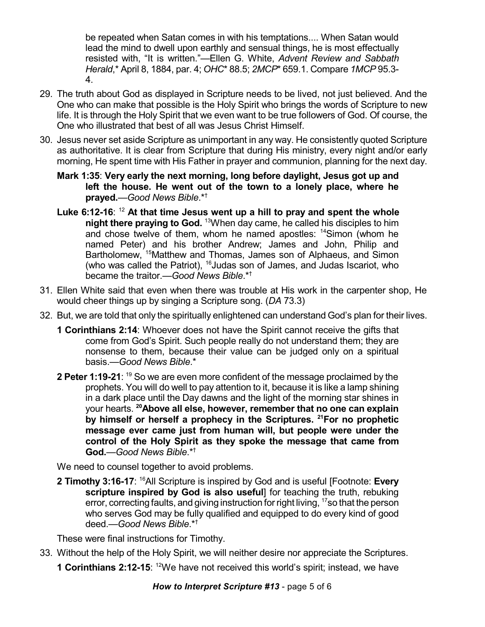be repeated when Satan comes in with his temptations.... When Satan would lead the mind to dwell upon earthly and sensual things, he is most effectually resisted with, "It is written."—Ellen G. White, *Advent Review and Sabbath Herald*,\* April 8, 1884, par. 4; *OHC*\* 88.5; *2MCP*\* 659.1. Compare *1MCP* 95.3- 4.

- 29. The truth about God as displayed in Scripture needs to be lived, not just believed. And the One who can make that possible is the Holy Spirit who brings the words of Scripture to new life. It is through the Holy Spirit that we even want to be true followers of God. Of course, the One who illustrated that best of all was Jesus Christ Himself.
- 30. Jesus never set aside Scripture as unimportant in any way. He consistently quoted Scripture as authoritative. It is clear from Scripture that during His ministry, every night and/or early morning, He spent time with His Father in prayer and communion, planning for the next day.
	- **Mark 1:35**: **Very early the next morning, long before daylight, Jesus got up and left the house. He went out of the town to a lonely place, where he prayed.**—*Good News Bible*.\* †
	- **Luke 6:12-16**: <sup>12</sup> **At that time Jesus went up a hill to pray and spent the whole night there praying to God.** <sup>13</sup>When day came, he called his disciples to him and chose twelve of them, whom he named apostles: <sup>14</sup>Simon (whom he named Peter) and his brother Andrew; James and John, Philip and Bartholomew, <sup>15</sup>Matthew and Thomas, James son of Alphaeus, and Simon (who was called the Patriot), <sup>16</sup>Judas son of James, and Judas Iscariot, who became the traitor.—*Good News Bible*.\* †
- 31. Ellen White said that even when there was trouble at His work in the carpenter shop, He would cheer things up by singing a Scripture song. (*DA* 73.3)
- 32. But, we are told that only the spiritually enlightened can understand God's plan for their lives.
	- **1 Corinthians 2:14**: Whoever does not have the Spirit cannot receive the gifts that come from God's Spirit. Such people really do not understand them; they are nonsense to them, because their value can be judged only on a spiritual basis.—*Good News Bible*.\*
	- **2 Peter 1:19-21**: <sup>19</sup> So we are even more confident of the message proclaimed by the prophets. You will do well to pay attention to it, because it is like a lamp shining in a dark place until the Day dawns and the light of the morning star shines in your hearts. **<sup>20</sup>Above all else, however, remember that no one can explain by himself or herself a prophecy in the Scriptures. <sup>21</sup>For no prophetic message ever came just from human will, but people were under the control of the Holy Spirit as they spoke the message that came from God.**—*Good News Bible*.\* †

We need to counsel together to avoid problems.

**2 Timothy 3:16-17**: <sup>16</sup>All Scripture is inspired by God and is useful [Footnote: Every **scripture inspired by God is also useful**] for teaching the truth, rebuking error, correcting faults, and giving instruction for right living, <sup>17</sup>so that the person who serves God may be fully qualified and equipped to do every kind of good deed.—*Good News Bible*.\* †

These were final instructions for Timothy.

- 33. Without the help of the Holy Spirit, we will neither desire nor appreciate the Scriptures.
	- **1 Corinthians 2:12-15**: <sup>12</sup>We have not received this world's spirit; instead, we have